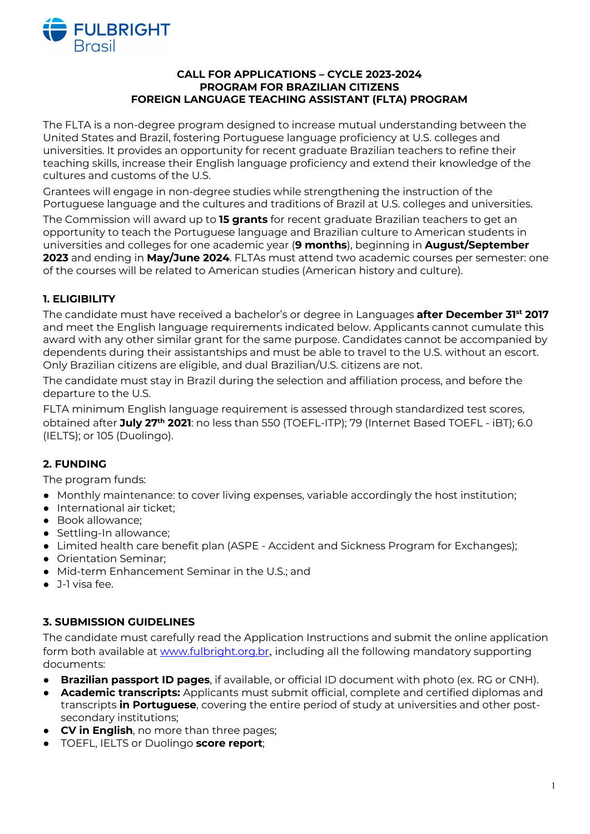

#### **CALL FOR APPLICATIONS – CYCLE 2023-2024 PROGRAM FOR BRAZILIAN CITIZENS FOREIGN LANGUAGE TEACHING ASSISTANT (FLTA) PROGRAM**

The FLTA is a non-degree program designed to increase mutual understanding between the United States and Brazil, fostering Portuguese language proficiency at U.S. colleges and universities. It provides an opportunity for recent graduate Brazilian teachers to refine their teaching skills, increase their English language proficiency and extend their knowledge of the cultures and customs of the U.S.

Grantees will engage in non-degree studies while strengthening the instruction of the Portuguese language and the cultures and traditions of Brazil at U.S. colleges and universities.

The Commission will award up to **15 grants** for recent graduate Brazilian teachers to get an opportunity to teach the Portuguese language and Brazilian culture to American students in universities and colleges for one academic year (**9 months**), beginning in **August/September 2023** and ending in **May/June 2024**. FLTAs must attend two academic courses per semester: one of the courses will be related to American studies (American history and culture).

## **1. ELIGIBILITY**

The candidate must have received a bachelor's or degree in Languages **after December 31st 2017** and meet the English language requirements indicated below. Applicants cannot cumulate this award with any other similar grant for the same purpose. Candidates cannot be accompanied by dependents during their assistantships and must be able to travel to the U.S. without an escort. Only Brazilian citizens are eligible, and dual Brazilian/U.S. citizens are not.

The candidate must stay in Brazil during the selection and affiliation process, and before the departure to the U.S.

FLTA minimum English language requirement is assessed through standardized test scores, obtained after **July 27th 2021**: no less than 550 (TOEFL-ITP); 79 (Internet Based TOEFL - iBT); 6.0 (IELTS); or 105 (Duolingo).

## **2. FUNDING**

The program funds:

- Monthly maintenance: to cover living expenses, variable accordingly the host institution;
- International air ticket;
- Book allowance;
- Settling-In allowance;
- Limited health care benefit plan (ASPE Accident and Sickness Program for Exchanges);
- Orientation Seminar;
- Mid-term Enhancement Seminar in the U.S.; and
- J-1 visa fee.

## **3. SUBMISSION GUIDELINES**

The candidate must carefully read the Application Instructions and submit the online application form both available at www.fulbright.org.br, including all the following mandatory supporting documents:

- **● Brazilian passport ID pages**, if available, or official ID document with photo (ex. RG or CNH).
- **● Academic transcripts:** Applicants must submit official, complete and certified diplomas and transcripts **in Portuguese**, covering the entire period of study at universities and other postsecondary institutions;
- **● CV in English**, no more than three pages;
- **●** TOEFL, IELTS or Duolingo **score report**;